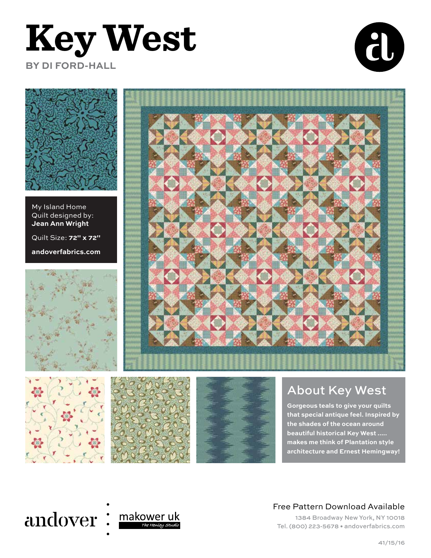## **Key West BY DI FORD-HALL**





My Island Home Quilt designed by: **Jean Ann Wright**

Quilt Size: **72" x 72"**

**andoverfabrics.com**









#### About Key West

**Gorgeous teals to give your quilts that special antique feel. Inspired by the shades of the ocean around beautiful historical Key West ..... makes me think of Plantation style architecture and Ernest Hemingway!**

### andover:



#### Free Pattern Download Available

1384 Broadway New York, NY 10018 Tel. (800) 223-5678 • andoverfabrics.com

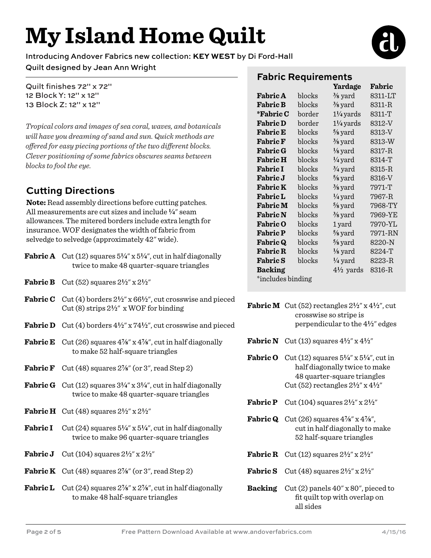## **My Island Home Quilt**

Introducing Andover Fabrics new collection: **KEY WEST** by Di Ford-Hall

Quilt designed by Jean Ann Wright

Quilt finishes 72" x 72" 12 Block Y: 12" x 12" 13 Block Z: 12" x 12"

*Tropical colors and images of sea coral, waves, and botanicals will have you dreaming of sand and sun. Quick methods are offered for easy piecing portions of the two different blocks. Clever positioning of some fabrics obscures seams between blocks to fool the eye.*

#### **Cutting Directions**

**Note:** Read assembly directions before cutting patches. All measurements are cut sizes and include **4**" seam allowances. The mitered borders include extra length for insurance. WOF designates the width of fabric from selvedge to selvedge (approximately 42" wide).

|                 | <b>Fabric A</b> Cut (12) squares $5\frac{1}{4}$ x $5\frac{1}{4}$ , cut in half diagonally<br>twice to make 48 quarter-square triangles             |  |
|-----------------|----------------------------------------------------------------------------------------------------------------------------------------------------|--|
|                 | <b>Fabric B</b> Cut (52) squares $2\frac{1}{2}$ " x $2\frac{1}{2}$ "                                                                               |  |
|                 | <b>Fabric C</b> Cut (4) borders $2\frac{1}{2}$ " x 66 $\frac{1}{2}$ ", cut crosswise and pieced<br>Cut (8) strips $2\frac{1}{2}$ x WOF for binding |  |
|                 | <b>Fabric D</b> Cut (4) borders $4\frac{1}{2}$ " x $74\frac{1}{2}$ ", cut crosswise and pieced                                                     |  |
|                 | <b>Fabric E</b> Cut (26) squares $4\frac{7}{8}$ " x $4\frac{7}{8}$ ", cut in half diagonally<br>to make 52 half-square triangles                   |  |
|                 | <b>Fabric F</b> Cut (48) squares $2\frac{7}{8}$ " (or 3", read Step 2)                                                                             |  |
|                 | <b>Fabric G</b> Cut (12) squares $3\frac{1}{4}$ x $3\frac{1}{4}$ , cut in half diagonally<br>twice to make 48 quarter-square triangles             |  |
|                 | <b>Fabric H</b> Cut (48) squares $2\frac{1}{2}$ " x $2\frac{1}{2}$ "                                                                               |  |
| <b>Fabric I</b> | Cut (24) squares $5\frac{1}{4}$ " x $5\frac{1}{4}$ ", cut in half diagonally<br>twice to make 96 quarter-square triangles                          |  |
|                 | <b>Fabric J</b> Cut (104) squares $2\frac{1}{2}$ " x $2\frac{1}{2}$ "                                                                              |  |
|                 | <b>Fabric K</b> Cut (48) squares $2\frac{7}{8}$ (or $3$ ", read Step 2)                                                                            |  |
|                 | <b>Fabric L</b> Cut $(24)$ squares $2\frac{7}{8}$ " x $2\frac{7}{8}$ ", cut in half diagonally<br>to make 48 half-square triangles                 |  |

#### **Fabric Requirements**

|                   |        | Yardage              | Fabric  |  |
|-------------------|--------|----------------------|---------|--|
| <b>Fabric A</b>   | blocks | $\frac{3}{8}$ yard   | 8311-LT |  |
| <b>Fabric B</b>   | blocks | $\frac{3}{8}$ yard   | 8311-R  |  |
| *Fabric C         | border | $1\frac{1}{4}$ yards | 8311-T  |  |
| <b>Fabric D</b>   | border | $1\frac{1}{4}$ yards | 8312-V  |  |
| <b>Fabric E</b>   | blocks | $\frac{5}{8}$ yard   | 8313-V  |  |
| <b>Fabric F</b>   | blocks | $\frac{3}{8}$ yard   | 8313-W  |  |
| <b>Fabric G</b>   | blocks | $\frac{1}{8}$ yard   | 8317-R  |  |
| <b>Fabric H</b>   | blocks | $\frac{1}{4}$ yard   | 8314-T  |  |
| <b>Fabric I</b>   | blocks | $\frac{3}{4}$ yard   | 8315-R  |  |
| <b>Fabric J</b>   | blocks | $\frac{5}{8}$ yard   | 8316-V  |  |
| <b>Fabric K</b>   | blocks | $\frac{3}{8}$ yard   | 7971-T  |  |
| <b>Fabric L</b>   | blocks | $\frac{1}{4}$ yard   | 7967-R  |  |
| <b>Fabric M</b>   | blocks | $\frac{5}{8}$ yard   | 7968-TY |  |
| <b>Fabric N</b>   | blocks | $\frac{3}{8}$ yard   | 7969-YE |  |
| <b>Fabric O</b>   | blocks | 1 yard               | 7970-YL |  |
| <b>Fabric P</b>   | blocks | $\frac{5}{8}$ yard   | 7971-RN |  |
| <b>Fabric Q</b>   | blocks | $\frac{5}{8}$ yard   | 8220-N  |  |
| <b>Fabric R</b>   | blocks | $\frac{1}{8}$ yard   | 8224-T  |  |
| <b>Fabric S</b>   | blocks | $\frac{1}{4}$ yard   | 8223-R  |  |
| <b>Backing</b>    |        | $4\frac{1}{2}$ yards | 8316-R  |  |
| *includes binding |        |                      |         |  |

**Fabric M** Cut (52) rectangles  $2\frac{1}{2}$ " x  $4\frac{1}{2}$ ", cut crosswise so stripe is perpendicular to the 4**2**" edges

- **Fabric N** Cut (13) squares  $4\frac{1}{2}$ " x  $4\frac{1}{2}$ "
- **Fabric O** Cut (12) squares  $5\frac{1}{4}$ " x  $5\frac{1}{4}$ ", cut in half diagonally twice to make 48 quarter-square triangles Cut (52) rectangles 2**2**" x 4**2**"
- **Fabric P** Cut (104) squares  $2\frac{1}{2}$ " x  $2\frac{1}{2}$ "
- **Fabric Q** Cut  $(26)$  squares  $4\frac{7}{8}$ " x  $4\frac{7}{8}$ ", cut in half diagonally to make 52 half-square triangles
- **Fabric R** Cut (12) squares  $2\frac{1}{2}$ " x  $2\frac{1}{2}$ "
- **Fabric S** Cut (48) squares  $2\frac{1}{2}$ " x  $2\frac{1}{2}$ "
- **Backing** Cut (2) panels 40" x 80", pieced to fit quilt top with overlap on all sides

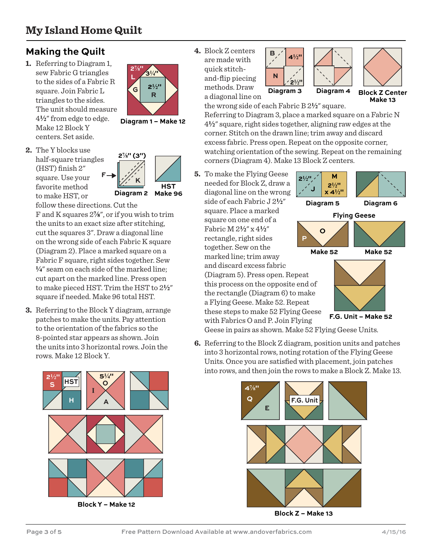#### **Making the Quilt**

**1.** Referring to Diagram 1, sew Fabric G triangles to the sides of a Fabric R square. Join Fabric L triangles to the sides. The unit should measure 4**2**" from edge to edge. Make 12 Block Y centers. Set aside.



**Diagram 1 – Make 12**

**2.** The Y blocks use half-square triangles (HST) finish 2" square. Use your favorite method to make HST, or



follow these directions. Cut the

F and K squares 2**f**", or if you wish to trim the units to an exact size after stitching, cut the squares 3". Draw a diagonal line on the wrong side of each Fabric K square (Diagram 2). Place a marked square on a Fabric F square, right sides together. Sew **4**" seam on each side of the marked line; cut apart on the marked line. Press open to make pieced HST. Trim the HST to 2**2**" square if needed. Make 96 total HST.

**3.** Referring to the Block Y diagram, arrange patches to make the units. Pay attention to the orientation of the fabrics so the 8-pointed star appears as shown. Join the units into 3 horizontal rows. Join the rows. Make 12 Block Y.



**Block Y – Make 12**

**4.** Block Z centers are made with quick stitchand-flip piecing methods. Draw

**Diagram 3**  $4\frac{1}{2}$  $2^{1/2}$ **B N**





a diagonal line on

the wrong side of each Fabric B 2**2**" square. Referring to Diagram 3, place a marked square on a Fabric N 4**2**" square, right sides together, aligning raw edges at the corner. Stitch on the drawn line; trim away and discard excess fabric. Press open. Repeat on the opposite corner, watching orientation of the sewing. Repeat on the remaining corners (Diagram 4). Make 13 Block Z centers.

**5.** To make the Flying Geese needed for Block Z, draw a diagonal line on the wrong side of each Fabric J 2**2**" square. Place a marked square on one end of a Fabric M 2**2**" x 4**2**" rectangle, right sides together. Sew on the marked line; trim away and discard excess fabric (Diagram 5). Press open. Repeat this process on the opposite end of the rectangle (Diagram 6) to make a Flying Geese. Make 52. Repeat these steps to make 52 Flying Geese with Fabrics O and P. Join Flying **P**



**Diagram 5 Diagram 6**

**Flying Geese**

**O**



**F.G. Unit – Make 52**

Geese in pairs as shown. Make 52 Flying Geese Units.

**6.** Referring to the Block Z diagram, position units and patches into 3 horizontal rows, noting rotation of the Flying Geese Units. Once you are satisfied with placement, join patches into rows, and then join the rows to make a Block Z. Make 13.



**Block Z – Make 13**

**F**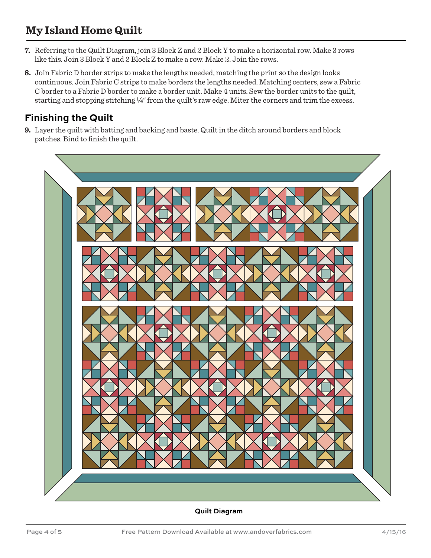#### **My Island Home Quilt**

- **7.** Referring to the Quilt Diagram, join 3 Block Z and 2 Block Y to make a horizontal row. Make 3 rows like this. Join 3 Block Y and 2 Block Z to make a row. Make 2. Join the rows.
- **8.** Join Fabric D border strips to make the lengths needed, matching the print so the design looks continuous. Join Fabric C strips to make borders the lengths needed. Matching centers, sew a Fabric C border to a Fabric D border to make a border unit. Make 4 units. Sew the border units to the quilt, starting and stopping stitching **4**" from the quilt's raw edge. Miter the corners and trim the excess.

#### **Finishing the Quilt**

**9.** Layer the quilt with batting and backing and baste. Quilt in the ditch around borders and block patches. Bind to finish the quilt.



**Quilt Diagram**